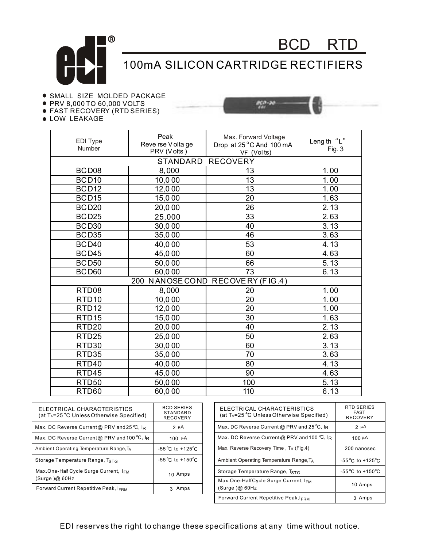

## 100mA SILICON CARTRIDGE RECTIFIERS

no se

BCD RTD

## **.** SMALL SIZE MOLDED PACKAGE

- PRV 8,000 TO 60,000 VOLTS
- FAST RECOVERY (RTD SERIES)
- **.** LOW LEAKAGE



| ELECTRICAL CHARACTERISTICS<br>(at T <sub>A</sub> =25 °C Unless Otherwise Specified) | <b>BCD SERIES</b><br>STANDARD<br><b>RECOVERY</b> | <b>ELECTRICAL</b><br>(at T <sub>A</sub> =25 °C U |
|-------------------------------------------------------------------------------------|--------------------------------------------------|--------------------------------------------------|
| Max. DC Reverse Current@ PRV and 25 °C, IR                                          | $2 \mu A$                                        | Max. DC Revers                                   |
| Max. DC Reverse Current@ PRV and 100 °C, IR                                         | 100 $\mu$ A                                      | Max. DC Revers                                   |
| Ambient Operating Temperature Range, TA                                             | $-55^{\circ}$ C to $+125^{\circ}$ C              | Max. Reverse Re                                  |
| Storage Temperature Range, TstG                                                     | $-55^{\circ}$ C to $+150^{\circ}$ C              | <b>Ambient Operatir</b>                          |
| Max.One-Half Cycle Surge Current, IFM                                               | 10 Amps                                          | Storage Temper                                   |
| (Surge)@60Hz                                                                        |                                                  | Max.One-HalfC                                    |
| Forward Current Repetitive Peak, IFRM                                               | 3 Amps                                           | (Surge)@60Hz                                     |
|                                                                                     |                                                  |                                                  |

| ELECTRICAL CHARACTERISTICS<br>(at TA=25 °C Unless Otherwise Specified) | RTD SERIES<br><b>FAST</b><br><b>RECOVERY</b> |
|------------------------------------------------------------------------|----------------------------------------------|
| Max. DC Reverse Current @ PRV and 25 °C, lR                            | 2 µ A                                        |
| Max. DC Reverse Current@ PRV and 100 °C, $\mathbb{R}$                  | $100 \mu A$                                  |
| Max. Reverse Recovery Time, Trr (Fig.4)                                | 200 nanosec                                  |
| Ambient Operating Temperature Range, T <sub>A</sub>                    | $-55^{\circ}$ C to $+125^{\circ}$ C          |
| Storage Temperature Range, TSTG                                        | $-55^{\circ}$ C to $+150^{\circ}$ C          |
| Max.One-HalfCycle Surge Current, IFM<br>(Surge)@60Hz                   | 10 Amps                                      |
| <b>Forward Current Repetitive Peak, IFRM</b>                           | 3 Amps                                       |